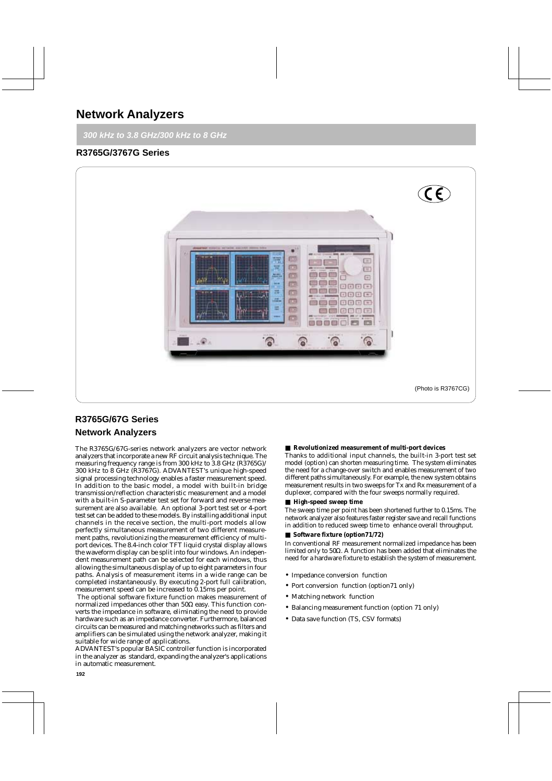# **Network Analyzers**

**300 kHz to 3.8 GHz/300 kHz to 8 GHz**

## **R3765G/3767G Series**



# **R3765G/67G Series Network Analyzers**

The R3765G/67G-series network analyzers are vector network analyzers that incorporate a new RF circuit analysis technique. The measuring frequency range is from 300 kHz to 3.8 GHz (R3765G)/ 300 kHz to 8 GHz (R3767G). ADVANTEST's unique high-speed signal processing technology enables a faster measurement speed. In addition to the basic model, a model with built-in bridge transmission/reflection characteristic measurement and a model with a built-in S-parameter test set for forward and reverse measurement are also available. An optional 3-port test set or 4-port test set can be added to these models. By installing additional input channels in the receive section, the multi-port models allow perfectly simultaneous measurement of two different measurement paths, revolutionizing the measurement efficiency of multiport devices. The 8.4-inch color TFT liquid crystal display allows the waveform display can be split into four windows. An independent measurement path can be selected for each windows, thus allowing the simultaneous display of up to eight parameters in four paths. Analysis of measurement items in a wide range can be completed instantaneously. By executing 2-port full calibration, measurement speed can be increased to 0.15ms per point.

The optional software fixture function makes measurement of normalized impedances other than  $50Ω$  easy. This function converts the impedance in software, eliminating the need to provide hardware such as an impedance converter. Furthermore, balanced circuits can be measured and matching networks such as filters and amplifiers can be simulated using the network analyzer, making it suitable for wide range of applications.

ADVANTEST's popular BASIC controller function is incorporated in the analyzer as standard, expanding the analyzer's applications in automatic measurement.

#### ■ **Revolutionized measurement of multi-port devices**

Thanks to additional input channels, the built-in 3-port test set model (option) can shorten measuring time. The system eliminates the need for a change-over switch and enables measurement of two different paths simultaneously. For example, the new system obtains measurement results in two sweeps for Tx and Rx measurement of a duplexer, compared with the four sweeps normally required.

#### ■ **High-speed sweep time**

The sweep time per point has been shortened further to 0.15ms. The network analyzer also features faster register save and recall functions in addition to reduced sweep time to enhance overall throughput.

#### ■ **Software fixture (option71/72)**

In conventional RF measurement normalized impedance has been limited only to 50Ω. A function has been added that eliminates the need for a hardware fixture to establish the system of measurement.

- Impedance conversion function
- Port conversion function (option71 only)
- Matching network function
- Balancing measurement function (option 71 only)
- Data save function (TS, CSV formats)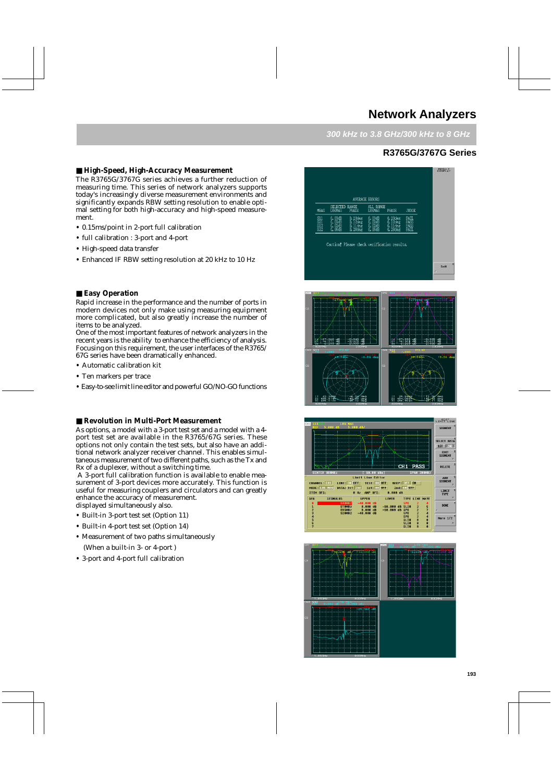## **300 kHz to 3.8 GHz/300 kHz to 8 GHz**

## **R3765G/3767G Series**

### ■ **High-Speed, High-Accuracy Measurement**

The R3765G/3767G series achieves a further reduction of measuring time. This series of network analyzers supports today's increasingly diverse measurement environments and significantly expands RBW setting resolution to enable optimal setting for both high-accuracy and high-speed measurement.

- 0.15ms/point in 2-port full calibration
- full calibration : 3-port and 4-port
- High-speed data transfer
- Enhanced IF RBW setting resolution at 20 kHz to 10 Hz

### ■ **Easy Operation**

Rapid increase in the performance and the number of ports in modern devices not only make using measuring equipment more complicated, but also greatly increase the number of items to be analyzed.

One of the most important features of network analyzers in the recent years is the ability to enhance the efficiency of analysis. Focusing on this requirement, the user interfaces of the R3765/ 67G series have been dramatically enhanced.

- Automatic calibration kit
- Ten markers per trace
- Easy-to-see limit line editor and powerful GO/NO-GO functions

#### ■ **Revolution in Multi-Port Measurement**

As options, a model with a 3-port test set and a model with a 4 port test set are available in the R3765/67G series. These options not only contain the test sets, but also have an additional network analyzer receiver channel. This enables simultaneous measurement of two different paths, such as the Tx and Rx of a duplexer, without a switching time.

A 3-port full calibration function is available to enable measurement of 3-port devices more accurately. This function is useful for measuring couplers and circulators and can greatly enhance the accuracy of measurement. displayed simultaneously also.

**•** Built-in 3-port test set (Option 11)

- Built-in 4-port test set (Option 14)
- Measurement of two paths simultaneously

(When a built-in 3- or 4-port )

**•** 3-port and 4-port full calibration







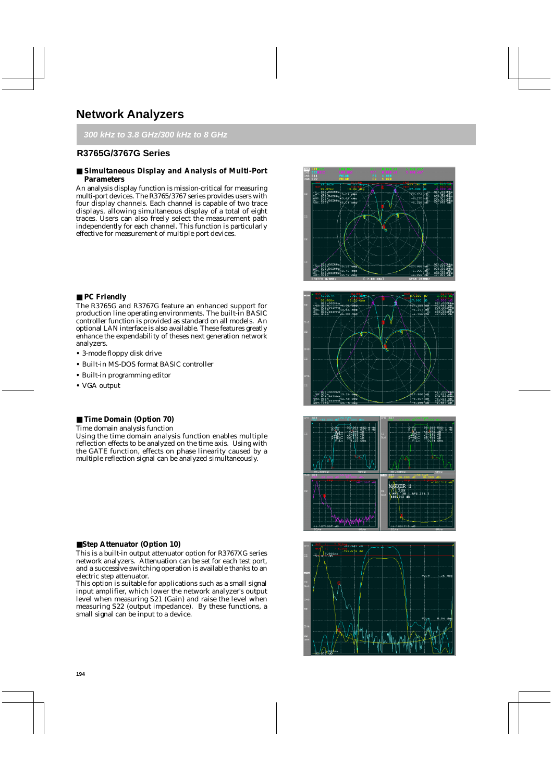# **Network Analyzers**

**300 kHz to 3.8 GHz/300 kHz to 8 GHz**

## **R3765G/3767G Series**

#### ■ **Simultaneous Display and Analysis of Multi-Port Parameters**

An analysis display function is mission-critical for measuring multi-port devices. The R3765/3767 series provides users with four display channels. Each channel is capable of two trace displays, allowing simultaneous display of a total of eight traces. Users can also freely select the measurement path independently for each channel. This function is particularly effective for measurement of multiple port devices.

#### ■ **PC** Friendly

The R3765G and R3767G feature an enhanced support for production line operating environments. The built-in BASIC controller function is provided as standard on all models. An optional LAN interface is also available. These features greatly enhance the expendability of theses next generation network analyzers.

- 3-mode floppy disk drive
- Built-in MS-DOS format BASIC controller
- Built-in programming editor
- VGA output

### ■ **Time Domain (Option 70)**

Time domain analysis function Using the time domain analysis function enables multiple reflection effects to be analyzed on the time axis. Using with the GATE function, effects on phase linearity caused by a multiple reflection signal can be analyzed simultaneously.

#### ■**Step Attenuator (Option 10)**

This is a built-in output attenuator option for R3767XG series network analyzers. Attenuation can be set for each test port, and a successive switching operation is available thanks to an electric step attenuator.

This option is suitable for applications such as a small signal input amplifier, which lower the network analyzer's output level when measuring S21 (Gain) and raise the level when measuring S22 (output impedance). By these functions, a small signal can be input to a device.







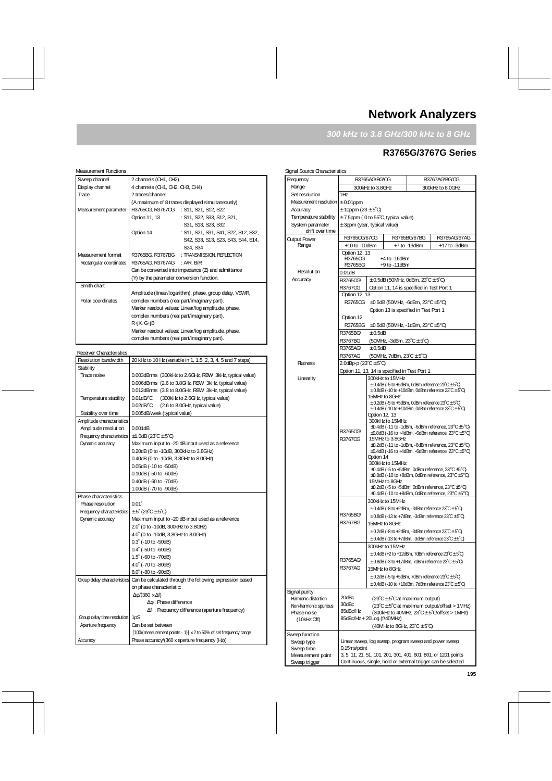**300 kHz to 3.8 GHz/300 kHz to 8 GHz**

## **R3765G/3767G Series**

| <b>Measurement Functions</b> |                                                                                                    |  |  |  |
|------------------------------|----------------------------------------------------------------------------------------------------|--|--|--|
| Sweep channel                | 2 channels (CH1, CH2)                                                                              |  |  |  |
| Display channel              | 4 channels (CH1, CH2, CH3, CH4)                                                                    |  |  |  |
| Trace                        | 2 traces/channel                                                                                   |  |  |  |
|                              | (A maximum of 8 traces displayed simultaneously)                                                   |  |  |  |
| Measurement parameter        | R3765CG, R3767CG : S11, S21, S12, S22                                                              |  |  |  |
|                              | Option 11, 13<br>$:$ S11, S22, S33, S12, S21,                                                      |  |  |  |
|                              | S31, S13, S23, S32                                                                                 |  |  |  |
|                              | Option 14<br>: S11, S21, S31, S41, S22, S12, S32,                                                  |  |  |  |
|                              | S42, S33, S13, S23, S43, S44, S14,                                                                 |  |  |  |
|                              | S24, S34                                                                                           |  |  |  |
| Measurement format           | R3765BG, R3767BG<br>: TRANSMISSION, REFLECTION                                                     |  |  |  |
| Rectangular coordinates      | R3765AG, R3767AG<br>: $A/R$ , $B/R$                                                                |  |  |  |
|                              | Can be converted into impedance (Z) and admittance                                                 |  |  |  |
|                              | (Y) by the parameter conversion function.                                                          |  |  |  |
| Smith chart                  |                                                                                                    |  |  |  |
|                              | Amplitude (linear/logarithm), phase, group delay, VSWR,                                            |  |  |  |
| Polar coordinates            | complex numbers (real part/imaginary part).                                                        |  |  |  |
|                              | Marker readout values: Linear/log amplitude, phase,                                                |  |  |  |
|                              | complex numbers (real part/imaginary part).                                                        |  |  |  |
|                              | $R+$ j $X, G+$ j $B$                                                                               |  |  |  |
|                              |                                                                                                    |  |  |  |
|                              | Marker readout values: Linear/log amplitude, phase,<br>complex numbers (real part/imaginary part). |  |  |  |
|                              |                                                                                                    |  |  |  |
| Receiver Characteristics     |                                                                                                    |  |  |  |
| Resolution bandwidth         | 20 kHz to 10 Hz (variable in 1, 1.5, 2, 3, 4, 5 and 7 steps)                                       |  |  |  |
| Stability                    |                                                                                                    |  |  |  |
| Trace noise                  | 0.003dBrms (300kHz to 2.6GHz, RBW 3kHz, typical value)                                             |  |  |  |
|                              | 0.006dBrms (2.6 to 3.8GHz, RBW 3kHz, typical value)                                                |  |  |  |
|                              | 0.012dBrms (3.8 to 8.0GHz, RBW 3kHz, typical value)                                                |  |  |  |
| Temperature stability        | (300kHz to 2.6GHz, typical value)<br>$0.01$ d $B$ / $^{\circ}$ C                                   |  |  |  |
|                              | $0.02$ dB/ $^{\circ}$ C<br>(2.6 to 8.0GHz, typical value)                                          |  |  |  |
| Stability over time          | 0.005dB/week (typical value)                                                                       |  |  |  |
| Amplitude characteristics    |                                                                                                    |  |  |  |
| Amplitude resolution         | 0.001dB                                                                                            |  |  |  |
| Frequency characteristics    | $\pm 1.0$ dB (23°C $\pm$ 5°C)                                                                      |  |  |  |
| Dynamic accuracy             | Maximum input to -20 dB input used as a reference                                                  |  |  |  |
|                              | 0.20dB (0 to -10dB, 300kHz to 3.8GHz)                                                              |  |  |  |
|                              | 0.40dB (0 to -10dB, 3.8GHz to 8.0GHz)                                                              |  |  |  |
|                              | 0.05dB (-10 to -50dB)                                                                              |  |  |  |
|                              | 0.10dB (-50 to -60dB)                                                                              |  |  |  |
|                              | 0.40dB (-60 to -70dB)                                                                              |  |  |  |
|                              | 1.00dB (-70 to -90dB)                                                                              |  |  |  |
| Phase characteristics        |                                                                                                    |  |  |  |
| Phase resolution             | $0.01$ <sup>*</sup>                                                                                |  |  |  |
| Frequency characteristics    | $\pm 5$ (23 °C $\pm 5$ °C)                                                                         |  |  |  |
| Dynamic accuracy             | Maximum input to -20 dB input used as a reference                                                  |  |  |  |
|                              | 2.0° (0 to -10dB, 300kHz to 3.8GHz)                                                                |  |  |  |
|                              | 4.0' (0 to -10dB, 3.8GHz to 8.0GHz)                                                                |  |  |  |
|                              | 0.3° (-10 to -50dB)                                                                                |  |  |  |
|                              | $0.4^{\circ}$ (-50 to -60dB)                                                                       |  |  |  |
|                              | 1.5° (-60 to -70dB)                                                                                |  |  |  |
|                              | 4.0° (-70 to -80dB)                                                                                |  |  |  |
|                              | 8.0° (-80 to -90dB)                                                                                |  |  |  |
| Group delay characteristics  | Can be calculated through the following expression based                                           |  |  |  |
|                              | on phase characteristic:                                                                           |  |  |  |
|                              | $\Delta\phi$ /(360 × $\Delta f$ )                                                                  |  |  |  |
|                              | $\Delta\phi$ : Phase difference                                                                    |  |  |  |
|                              | $\Delta f$ : Frequency difference (aperture frequency)                                             |  |  |  |

Group delay time resolution | 1pS

Aperture frequency

Accuracy

Can be set between

[100/(measurement points - 1)]  $\times$  2 to 50% of set frequency range Phase accuracy/(360 x aperture frequency (Hz))

| Signal Source Characteristics                                                               |                                                          |                                                                                                                                                                                                      |                                                                                                                                                                   |                                                                                     |                                                                                                                                                                                                                                                                                                                                                                                                                                                                                                                                                                                                                                                                                                                                                                                                                                                                                                                                                                                                                                                           |  |
|---------------------------------------------------------------------------------------------|----------------------------------------------------------|------------------------------------------------------------------------------------------------------------------------------------------------------------------------------------------------------|-------------------------------------------------------------------------------------------------------------------------------------------------------------------|-------------------------------------------------------------------------------------|-----------------------------------------------------------------------------------------------------------------------------------------------------------------------------------------------------------------------------------------------------------------------------------------------------------------------------------------------------------------------------------------------------------------------------------------------------------------------------------------------------------------------------------------------------------------------------------------------------------------------------------------------------------------------------------------------------------------------------------------------------------------------------------------------------------------------------------------------------------------------------------------------------------------------------------------------------------------------------------------------------------------------------------------------------------|--|
| Frequency                                                                                   | R3765AG/BG/CG<br>R3767AG/BG/CG                           |                                                                                                                                                                                                      |                                                                                                                                                                   |                                                                                     |                                                                                                                                                                                                                                                                                                                                                                                                                                                                                                                                                                                                                                                                                                                                                                                                                                                                                                                                                                                                                                                           |  |
| Range                                                                                       | 300kHz to 3.8GHz<br>300kHz to 8.0GHz                     |                                                                                                                                                                                                      |                                                                                                                                                                   |                                                                                     |                                                                                                                                                                                                                                                                                                                                                                                                                                                                                                                                                                                                                                                                                                                                                                                                                                                                                                                                                                                                                                                           |  |
| Set resolution                                                                              | 1Hz                                                      |                                                                                                                                                                                                      |                                                                                                                                                                   |                                                                                     |                                                                                                                                                                                                                                                                                                                                                                                                                                                                                                                                                                                                                                                                                                                                                                                                                                                                                                                                                                                                                                                           |  |
| Measurement resolution $\pm 0.01$ ppm                                                       |                                                          |                                                                                                                                                                                                      |                                                                                                                                                                   |                                                                                     |                                                                                                                                                                                                                                                                                                                                                                                                                                                                                                                                                                                                                                                                                                                                                                                                                                                                                                                                                                                                                                                           |  |
| Accuracy                                                                                    | $\pm$ 10ppm (23 $\pm$ 5°C)                               |                                                                                                                                                                                                      |                                                                                                                                                                   |                                                                                     |                                                                                                                                                                                                                                                                                                                                                                                                                                                                                                                                                                                                                                                                                                                                                                                                                                                                                                                                                                                                                                                           |  |
| Temperature stability                                                                       | $\pm$ 7.5ppm (0 to 55°C, typical value)                  |                                                                                                                                                                                                      |                                                                                                                                                                   |                                                                                     |                                                                                                                                                                                                                                                                                                                                                                                                                                                                                                                                                                                                                                                                                                                                                                                                                                                                                                                                                                                                                                                           |  |
| System parameter<br>drift over time                                                         | $\pm$ 3ppm (year, typical value)                         |                                                                                                                                                                                                      |                                                                                                                                                                   |                                                                                     |                                                                                                                                                                                                                                                                                                                                                                                                                                                                                                                                                                                                                                                                                                                                                                                                                                                                                                                                                                                                                                                           |  |
| Output Power                                                                                | R3765CG/67CG<br>R3765BG/67BG<br>R3765AG/67AG             |                                                                                                                                                                                                      |                                                                                                                                                                   |                                                                                     |                                                                                                                                                                                                                                                                                                                                                                                                                                                                                                                                                                                                                                                                                                                                                                                                                                                                                                                                                                                                                                                           |  |
| Range                                                                                       | $+10$ to $-10$ dBm<br>+7 to -13dBm<br>$+17$ to $-3$ dBm  |                                                                                                                                                                                                      |                                                                                                                                                                   |                                                                                     |                                                                                                                                                                                                                                                                                                                                                                                                                                                                                                                                                                                                                                                                                                                                                                                                                                                                                                                                                                                                                                                           |  |
|                                                                                             | Option 12, 13<br>R3765CG<br>$+4$ to $-16$ dBm            |                                                                                                                                                                                                      |                                                                                                                                                                   |                                                                                     |                                                                                                                                                                                                                                                                                                                                                                                                                                                                                                                                                                                                                                                                                                                                                                                                                                                                                                                                                                                                                                                           |  |
| Resolution                                                                                  | R3765BG                                                  |                                                                                                                                                                                                      | +9 to -11dBm                                                                                                                                                      |                                                                                     |                                                                                                                                                                                                                                                                                                                                                                                                                                                                                                                                                                                                                                                                                                                                                                                                                                                                                                                                                                                                                                                           |  |
| Accuracy                                                                                    | 0.01dB<br>R3765CG/                                       |                                                                                                                                                                                                      |                                                                                                                                                                   | $\pm$ 0.5dB (50MHz, 0dBm, 23°C $\pm$ 5°C)                                           |                                                                                                                                                                                                                                                                                                                                                                                                                                                                                                                                                                                                                                                                                                                                                                                                                                                                                                                                                                                                                                                           |  |
|                                                                                             | R3767CG                                                  |                                                                                                                                                                                                      |                                                                                                                                                                   | Option 11, 14 is specified in Test Port 1                                           |                                                                                                                                                                                                                                                                                                                                                                                                                                                                                                                                                                                                                                                                                                                                                                                                                                                                                                                                                                                                                                                           |  |
|                                                                                             | Option 12, 13                                            |                                                                                                                                                                                                      |                                                                                                                                                                   |                                                                                     |                                                                                                                                                                                                                                                                                                                                                                                                                                                                                                                                                                                                                                                                                                                                                                                                                                                                                                                                                                                                                                                           |  |
|                                                                                             | R3765CG                                                  |                                                                                                                                                                                                      |                                                                                                                                                                   | ±0.5dB (50MHz, -6dBm, 23°C ±5°C)                                                    |                                                                                                                                                                                                                                                                                                                                                                                                                                                                                                                                                                                                                                                                                                                                                                                                                                                                                                                                                                                                                                                           |  |
|                                                                                             |                                                          |                                                                                                                                                                                                      |                                                                                                                                                                   | Option 13 is specified in Test Port 1                                               |                                                                                                                                                                                                                                                                                                                                                                                                                                                                                                                                                                                                                                                                                                                                                                                                                                                                                                                                                                                                                                                           |  |
|                                                                                             | Option 12                                                |                                                                                                                                                                                                      |                                                                                                                                                                   |                                                                                     |                                                                                                                                                                                                                                                                                                                                                                                                                                                                                                                                                                                                                                                                                                                                                                                                                                                                                                                                                                                                                                                           |  |
|                                                                                             | R3765BG                                                  |                                                                                                                                                                                                      |                                                                                                                                                                   | ±0.5dB (50MHz, -1dBm, 23°C ±5°C)                                                    |                                                                                                                                                                                                                                                                                                                                                                                                                                                                                                                                                                                                                                                                                                                                                                                                                                                                                                                                                                                                                                                           |  |
|                                                                                             | R3765BG/                                                 | ± 0.5dB                                                                                                                                                                                              |                                                                                                                                                                   |                                                                                     |                                                                                                                                                                                                                                                                                                                                                                                                                                                                                                                                                                                                                                                                                                                                                                                                                                                                                                                                                                                                                                                           |  |
|                                                                                             | R3767BG                                                  |                                                                                                                                                                                                      | $(50MHz, -3dBm, 23^{\circ}C \pm 5^{\circ}C)$                                                                                                                      |                                                                                     |                                                                                                                                                                                                                                                                                                                                                                                                                                                                                                                                                                                                                                                                                                                                                                                                                                                                                                                                                                                                                                                           |  |
|                                                                                             | R3765AG/                                                 | $\pm$ 0.5dB                                                                                                                                                                                          |                                                                                                                                                                   |                                                                                     |                                                                                                                                                                                                                                                                                                                                                                                                                                                                                                                                                                                                                                                                                                                                                                                                                                                                                                                                                                                                                                                           |  |
|                                                                                             | R3767AG                                                  |                                                                                                                                                                                                      | $(50MHz, 7dBm, 23^{\circ}C \pm 5^{\circ}C)$                                                                                                                       |                                                                                     |                                                                                                                                                                                                                                                                                                                                                                                                                                                                                                                                                                                                                                                                                                                                                                                                                                                                                                                                                                                                                                                           |  |
| <b>Flatness</b>                                                                             | 2.0dBp-p $(23^{\circ}C \pm 5^{\circ}C)$                  |                                                                                                                                                                                                      |                                                                                                                                                                   |                                                                                     |                                                                                                                                                                                                                                                                                                                                                                                                                                                                                                                                                                                                                                                                                                                                                                                                                                                                                                                                                                                                                                                           |  |
|                                                                                             | Option 11, 13, 14 is specified in Test Port 1            |                                                                                                                                                                                                      |                                                                                                                                                                   |                                                                                     |                                                                                                                                                                                                                                                                                                                                                                                                                                                                                                                                                                                                                                                                                                                                                                                                                                                                                                                                                                                                                                                           |  |
| Linearity                                                                                   | R3765CG/<br>R3767CG<br>R3765BG/<br>R3767BG               | Option 12, 13<br>Option 14                                                                                                                                                                           | 300kHz to 15MHz<br>15MHz to 8GHz<br>300kHz to 15MHz<br>15MHz to 3.8GHz<br>300kHz to 15MHz<br>15MHz to 8GHz<br>300kHz to 15MHz<br>15MHz to 8GHz<br>300kHz to 15MHz |                                                                                     | $\pm$ 0.4dB (-5 to +5dBm, 0dBm reference 23°C $\pm$ 5°C)<br>$\pm$ 0.8dB (-10 to +10dBm, 0dBm reference 23°C $\pm$ 5°C)<br>$\pm$ 0.2dB (-5 to +5dBm, 0dBm reference 23°C $\pm$ 5°C)<br>$\pm$ 0.4dB (-10 to +10dBm, 0dBm reference 23°C $\pm$ 5°C)<br>$\pm$ 0.4dB (-11 to -1dBm, -6dBm reference, 23°C $\pm$ 5°C)<br>$\pm 0.8$ dB (-16 to +4dBm, -6dBm reference, 23°C $\pm 5$ °C)<br>$\pm$ 0.2dB (-11 to -1dBm, -6dBm reference, 23°C $\pm$ 5°C)<br>$\pm$ 0.4dB (-16 to +4dBm, -6dBm reference, 23°C $\pm$ 5°C)<br>±0.4dB (-5 to +5dBm, 0dBm reference, 23°C ±5°C)<br>±0.8dB (-10 to +8dBm, 0dBm reference, 23°C ±5°C)<br>$\pm$ 0.2dB (-5 to +5dBm, 0dBm reference, 23°C $\pm$ 5°C)<br>±0.4dB (-10 to +8dBm, 0dBm reference, 23°C ±5°C)<br>$\pm$ 0.4dB (-8 to +2dBm, -3dBm reference 23°C $\pm$ 5°C)<br>$\pm$ 0.8dB (-13 to +7dBm, -3dBm reference 23°C $\pm$ 5°C)<br>$\pm$ 0.2dB (-8 to +2dBm, -3dBm reference 23°C $\pm$ 5°C)<br>$\pm$ 0.4dB (-13 to +7dBm, -3dBm reference 23°C $\pm$ 5°C)<br>$\pm$ 0.4dB (+2 to +12dBm, 7dBm reference 23°C $\pm$ 5°C) |  |
|                                                                                             | R3765AG/<br>R3767AG                                      | $\pm$ 0.8dB (-3 to +17dBm, 7dBm reference 23°C $\pm$ 5°C)<br>15MHz to 8GHz<br>$\pm$ 0.2dB (-5 tp +5dBm, 7dBm reference 23°C $\pm$ 5°C)<br>$\pm$ 0.4dB (-10 to +10dBm, 7dBm reference 23°C $\pm$ 5°C) |                                                                                                                                                                   |                                                                                     |                                                                                                                                                                                                                                                                                                                                                                                                                                                                                                                                                                                                                                                                                                                                                                                                                                                                                                                                                                                                                                                           |  |
| Signal purity<br>Harmonic distortion<br>Non-harmonic spurious<br>Phase noise<br>(10kHz Off) | 20dBc<br>30dBc<br>85dBc/Hz<br>85dBc/Hz + 20Log (f/40MHz) |                                                                                                                                                                                                      |                                                                                                                                                                   | $(23^{\circ}C \pm 5^{\circ}C$ at maximum output)<br>(40MHz to 8GHz, 23°C $\pm$ 5°C) | $(23^{\circ}C \pm 5^{\circ}C)$ at maximum output/offset > 1MHz)<br>(300kHz to 40MHz, $23^{\circ}$ C ± 5 $^{\circ}$ C/offset > 1MHz)                                                                                                                                                                                                                                                                                                                                                                                                                                                                                                                                                                                                                                                                                                                                                                                                                                                                                                                       |  |
| Sweep function                                                                              |                                                          |                                                                                                                                                                                                      |                                                                                                                                                                   |                                                                                     |                                                                                                                                                                                                                                                                                                                                                                                                                                                                                                                                                                                                                                                                                                                                                                                                                                                                                                                                                                                                                                                           |  |
| Sweep type<br>Sweep time<br>Measurement point<br>Sweep trigger                              | 0.15ms/point                                             |                                                                                                                                                                                                      |                                                                                                                                                                   |                                                                                     | Linear sweep, log sweep, program sweep and power sweep<br>3, 5, 11, 21, 51, 101, 201, 301, 401, 601, 801, or 1201 points<br>Continuous, single, hold or external trigger can be selected                                                                                                                                                                                                                                                                                                                                                                                                                                                                                                                                                                                                                                                                                                                                                                                                                                                                  |  |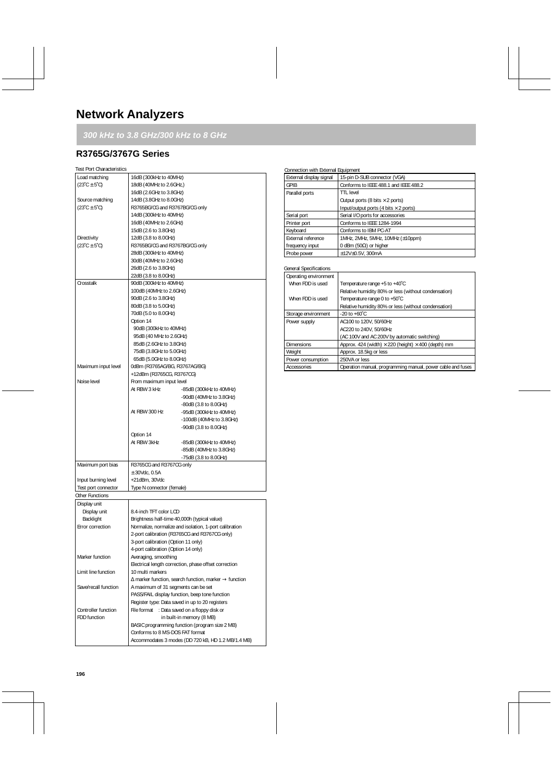**300 kHz to 3.8 GHz/300 kHz to 8 GHz**

# **R3765G/3767G Series**

| <b>Test Port Characteristics</b>               |                                                                                                                                                       |                           |  |  |  |  |
|------------------------------------------------|-------------------------------------------------------------------------------------------------------------------------------------------------------|---------------------------|--|--|--|--|
| Load matching                                  | 16dB (300kHz to 40MHz)                                                                                                                                |                           |  |  |  |  |
| $(23^{\circ}C \pm 5^{\circ}C)$                 | 18dB (40MHz to 2.6GHz,)                                                                                                                               |                           |  |  |  |  |
|                                                | 16dB (2.6GHz to 3.8GHz)                                                                                                                               |                           |  |  |  |  |
| Source matching                                | 14dB (3.8GHz to 8.0GHz)                                                                                                                               |                           |  |  |  |  |
| $(23^{\circ}C \pm 5^{\circ}C)$                 | R3765BG/CG and R3767BG/CG only                                                                                                                        |                           |  |  |  |  |
|                                                | 14dB (300kHz to 40MHz)                                                                                                                                |                           |  |  |  |  |
|                                                | 16dB (40MHz to 2.6GHz)                                                                                                                                |                           |  |  |  |  |
|                                                | 15dB (2.6 to 3.8GHz)                                                                                                                                  |                           |  |  |  |  |
| Directivity                                    | 12dB (3.8 to 8.0GHz)                                                                                                                                  |                           |  |  |  |  |
| $(23^{\circ}C \pm 5^{\circ}C)$                 | R3765BG/CG and R3767BG/CG only                                                                                                                        |                           |  |  |  |  |
|                                                | 28dB (300kHz to 40MHz)<br>30dB (40MHz to 2.6GHz)                                                                                                      |                           |  |  |  |  |
|                                                |                                                                                                                                                       |                           |  |  |  |  |
|                                                |                                                                                                                                                       |                           |  |  |  |  |
|                                                | 26dB (2.6 to 3.8GHz)                                                                                                                                  |                           |  |  |  |  |
| Crosstalk                                      | 22dB (3.8 to 8.0GHz)                                                                                                                                  |                           |  |  |  |  |
|                                                | 90dB (300kHz to 40MHz)                                                                                                                                |                           |  |  |  |  |
|                                                | 100dB (40MHz to 2.6GHz)<br>90dB (2.6 to 3.8GHz)                                                                                                       |                           |  |  |  |  |
|                                                | 80dB (3.8 to 5.0GHz)                                                                                                                                  |                           |  |  |  |  |
|                                                | 70dB (5.0 to 8.0GHz)                                                                                                                                  |                           |  |  |  |  |
|                                                | Option 14                                                                                                                                             |                           |  |  |  |  |
|                                                | 90dB (300kHz to 40MHz)                                                                                                                                |                           |  |  |  |  |
|                                                |                                                                                                                                                       |                           |  |  |  |  |
|                                                | 95dB (40 MHz to 2.6GHz)                                                                                                                               |                           |  |  |  |  |
|                                                | 85dB (2.6GHz to 3.8GHz)                                                                                                                               |                           |  |  |  |  |
|                                                | 75dB (3.8GHz to 5.0GHz)                                                                                                                               |                           |  |  |  |  |
|                                                | 65dB (5.0GHz to 8.0GHz)                                                                                                                               |                           |  |  |  |  |
| Maximum input level                            | 0dBm (R3765AG/BG, R3767AG/BG)                                                                                                                         |                           |  |  |  |  |
|                                                | +12dBm (R3765CG, R3767CG)                                                                                                                             |                           |  |  |  |  |
| Noise level                                    | From maximum input level                                                                                                                              |                           |  |  |  |  |
|                                                | At RBW 3 kHz                                                                                                                                          | $-85dB$ (300kHz to 40MHz) |  |  |  |  |
|                                                |                                                                                                                                                       | $-90dB$ (40MHz to 3.8GHz) |  |  |  |  |
|                                                |                                                                                                                                                       | $-80dB$ (3.8 to 8.0GHz)   |  |  |  |  |
|                                                | At RBW 300 Hz                                                                                                                                         | $-95dB$ (300kHz to 40MHz) |  |  |  |  |
|                                                |                                                                                                                                                       | -100dB (40MHz to 3.8GHz)  |  |  |  |  |
|                                                |                                                                                                                                                       | -90dB (3.8 to 8.0GHz)     |  |  |  |  |
|                                                | Option 14                                                                                                                                             |                           |  |  |  |  |
|                                                | At RBW 3kHz                                                                                                                                           | $-85dB$ (300kHz to 40MHz) |  |  |  |  |
|                                                |                                                                                                                                                       | $-85dB$ (40MHz to 3.8GHz) |  |  |  |  |
|                                                |                                                                                                                                                       | -75dB (3.8 to 8.0GHz)     |  |  |  |  |
| Maximum port bias                              | R3765CG and R3767CG only                                                                                                                              |                           |  |  |  |  |
|                                                | $± 30$ Vdc, 0.5A                                                                                                                                      |                           |  |  |  |  |
| Input burning level                            | +21dBm, 30Vdc                                                                                                                                         |                           |  |  |  |  |
| Test port connector                            | Type N connector (female)                                                                                                                             |                           |  |  |  |  |
| <b>Other Functions</b>                         |                                                                                                                                                       |                           |  |  |  |  |
| Display unit                                   |                                                                                                                                                       |                           |  |  |  |  |
| Display unit                                   | 8.4-inch TFT color LCD                                                                                                                                |                           |  |  |  |  |
| Backlight                                      | Brightness half-time 40,000h (typical value)                                                                                                          |                           |  |  |  |  |
| Frror correction                               | Normalize, normalize and isolation, 1-port calibration                                                                                                |                           |  |  |  |  |
|                                                | 2-port calibration (R3765CG and R3767CG only)<br>3-port calibration (Option 11 only)                                                                  |                           |  |  |  |  |
|                                                |                                                                                                                                                       |                           |  |  |  |  |
|                                                | 4-port calibration (Option 14 only)                                                                                                                   |                           |  |  |  |  |
| Marker function                                | Averaging, smoothing                                                                                                                                  |                           |  |  |  |  |
|                                                | Electrical length correction, phase offset correction<br>10 multi markers<br>$\Delta$ marker function, search function, marker $\rightarrow$ function |                           |  |  |  |  |
| Limit line function                            |                                                                                                                                                       |                           |  |  |  |  |
|                                                |                                                                                                                                                       |                           |  |  |  |  |
| Save/recall function                           | A maximum of 31 segments can be set                                                                                                                   |                           |  |  |  |  |
| PASS/FAIL display function, beep tone function |                                                                                                                                                       |                           |  |  |  |  |
|                                                |                                                                                                                                                       |                           |  |  |  |  |
| Controller function                            | Register type: Data saved in up to 20 registers<br>File format<br>: Data saved on a floppy disk or                                                    |                           |  |  |  |  |
| FDD function                                   | in built-in memory (8 MB)                                                                                                                             |                           |  |  |  |  |
| BASIC programming function (program size 2 MB) |                                                                                                                                                       |                           |  |  |  |  |
|                                                |                                                                                                                                                       |                           |  |  |  |  |

Conforms to 8 MS-DOS FAT format

Accommodates 3 modes (DD 720 kB, HD 1.2 MB/1.4 MB)

| Connection with External Equipment<br>External display signal | 15-pin D-SUB connector (VGA)                 |  |  |  |
|---------------------------------------------------------------|----------------------------------------------|--|--|--|
| <b>GPIB</b>                                                   | Conforms to IEEE 488.1 and IEEE 488.2        |  |  |  |
| Parallel ports                                                | TTL level                                    |  |  |  |
|                                                               | Output ports (8 bits $\times$ 2 ports)       |  |  |  |
|                                                               | Input/output ports (4 bits $\times$ 2 ports) |  |  |  |
| Serial port                                                   | Serial I/O ports for accessories             |  |  |  |
| Printer port                                                  | Conforms to IFFF 1284-1994                   |  |  |  |
| Keyboard                                                      | Conforms to IBM PC-AT                        |  |  |  |
| External reference                                            | 1MHz, 2MHz, 5MHz, 10MHz (±10ppm)             |  |  |  |
| frequency input                                               | 0 dBm (50 $\Omega$ ) or higher               |  |  |  |
| Probe power                                                   | ±12V±0.5V. 300mA                             |  |  |  |

#### General Specifications

| Operating environment |                                                                   |
|-----------------------|-------------------------------------------------------------------|
| When FDD is used      | Temperature range +5 to +40°C                                     |
|                       | Relative humidity 80% or less (without condensation)              |
| When FDD is used      | Temperature range 0 to +50°C                                      |
|                       | Relative humidity 80% or less (without condensation)              |
| Storage environment   | $-20$ to $+60^{\circ}$ C                                          |
| Power supply          | AC100 to 120V, 50/60Hz                                            |
|                       | AC220 to 240V, 50/60Hz                                            |
|                       | (AC 100V and AC 200V by automatic switching)                      |
| <b>Dimensions</b>     | Approx. 424 (width) $\times$ 220 (height) $\times$ 400 (depth) mm |
| Weight                | Approx. 18.5kg or less                                            |
| Power consumption     | 250VA or less                                                     |
| Accessories           | Operation manual, programming manual, power cable and fuses       |